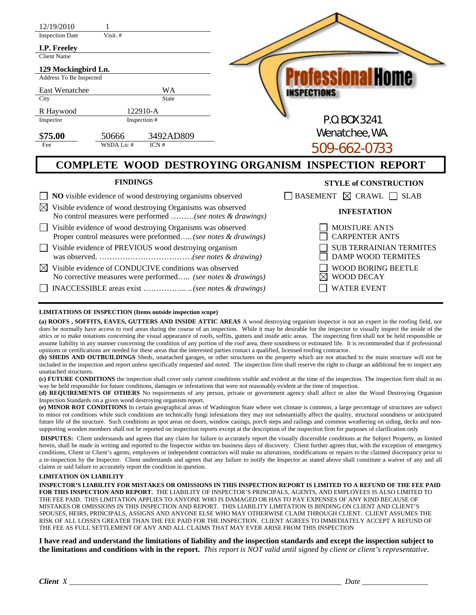| 12/19/2010<br><b>Inspection Date</b><br>I.P. Freeley<br><b>Client Name</b><br>129 Mockingbird Ln.<br>Address To Be Inspected         | Visit. #           |                                          |  | essional Home                                               |
|--------------------------------------------------------------------------------------------------------------------------------------|--------------------|------------------------------------------|--|-------------------------------------------------------------|
| East Wenatchee                                                                                                                       | WA                 |                                          |  | <b>INSPECTIONS</b>                                          |
| City<br>R Haywood<br>Inspector                                                                                                       |                    | <b>State</b><br>122910-A<br>Inspection # |  | P.O. BOX 3241                                               |
| \$75.00<br>Fee                                                                                                                       | 50666<br>WSDA Lic# | 3492AD809<br>ICN#                        |  | Wenatchee, WA.<br>509-662-0733                              |
|                                                                                                                                      |                    |                                          |  | <b>COMPLETE WOOD DESTROYING ORGANISM INSPECTION REPORT</b>  |
| <b>FINDINGS</b>                                                                                                                      |                    |                                          |  | <b>STYLE of CONSTRUCTION</b>                                |
| NO visible evidence of wood destroying organisms observed                                                                            |                    |                                          |  | $\exists$ BASEMENT $\boxtimes$ CRAWL $\Box$ SLAB            |
| Visible evidence of wood destroying Organisms was observed<br>$\bowtie$<br>No control measures were performed (see notes & drawings) |                    |                                          |  | <b>INFESTATION</b>                                          |
| Visible evidence of wood destroying Organisms was observed<br>Proper control measures were preformed (see notes & drawings)          |                    |                                          |  | <b>MOISTURE ANTS</b><br><b>CARPENTER ANTS</b>               |
| Visible evidence of PREVIOUS wood destroying organism                                                                                |                    |                                          |  | <b>SUB TERRAINIAN TERMITES</b><br><b>DAMP WOOD TERMITES</b> |
| Visible evidence of CONDUCIVE conditions was observed<br>⊠<br>No corrective measures were performed (see notes & drawings)           |                    |                                          |  | <b>WOOD BORING BEETLE</b><br><b>WOOD DECAY</b>              |
|                                                                                                                                      |                    |                                          |  | <b>WATER EVENT</b>                                          |

## **LIMITATIONS OF INSPECTION (Items outside inspection scope)**

**(a) ROOFS , SOFFITS, EAVES, GUTTERS AND INSIDE ATTIC AREAS** A wood destroying organism inspector is not an expert in the roofing field, nor does he normally have access to roof areas during the course of an inspection. While it may be desirable for the inspector to visually inspect the inside of the attics or to make notations concerning the visual appearance of roofs, soffits, gutters and inside attic areas. The inspecting firm shall not be held responsible or assume liability in any manner concerning the condition of any portion of the roof area, there soundness or estimated life. It is recommended that if professional opinions or certifications are needed for these areas that the interested parties contact a qualified, licensed roofing contractor.

**(b) SHEDS AND OUTBUILDINGS** Sheds, unattached garages, or other structures on the property which are not attached to the main structure will not be included in the inspection and report unless specifically requested and noted. The inspection firm shall reserve the right to charge an additional fee to inspect any unattached structures.

**(c) FUTURE CONDITIONS** the inspection shall cover only current conditions visible and evident at the time of the inspection. The inspection firm shall in no way be held responsible for future conditions, damages or infestations that were not reasonably evident at the time of inspection.

**(d) REQUIREMENTS OF OTHERS** No requirements of any person, private or government agency shall affect or alter the Wood Destroying Organism Inspection Standards on a given wood destroying organism report.

**(e) MINOR ROT CONDITIONS** In certain geographical areas of Washington State where wet climate is common, a large percentage of structures are subject to minor rot conditions while such conditions are technically fungi infestations they may not substantially affect the quality, structural soundness or anticipated future life of the structure. Such conditions as spot areas on doors, window casings, porch steps and railings and common weathering on siding, decks and nonsupporting wooden members shall not be reported on inspection reports except at the description of the inspection firm for purposes of clarification only

**DISPUTES:** Client understands and agrees that any claim for failure to accurately report the visually discernible conditions at the Subject Property, as limited herein, shall be made in writing and reported to the Inspector within ten business days of discovery. Client further agrees that, with the exception of emergency conditions, Client or Client's agents, employees or independent contractors will make no alterations, modifications or repairs to the claimed discrepancy prior to a re-inspection by the Inspector. Client understands and agrees that any failure to notify the Inspector as stated above shall constitute a waiver of any and all claims or said failure to accurately report the condition in question.

## **LIMITATION ON LIABILITY**

**INSPECTOR'S LIABILITY FOR MISTAKES OR OMISSIONS IN THIS INSPECTION REPORT IS LIMITED TO A REFUND OF THE FEE PAID FOR THIS INSPECTION AND REPORT.** THE LIABILITY OF INSPECTOR'S PRINCIPALS, AGENTS, AND EMPLOYEES IS ALSO LIMITED TO THE FEE PAID. THIS LIMITATION APPLIES TO ANYONE WHO IS DAMAGED OR HAS TO PAY EXPENSES OF ANY KIND BECAUSE OF MISTAKES OR OMISSIONS IN THIS INSPECTION AND REPORT. THIS LIABILITY LIMITATION IS BINDING ON CLIENT AND CLIENT'S SPOUSES, HEIRS, PRINCIPALS, ASSIGNS AND ANYONE ELSE WHO MAY OTHERWISE CLAIM THROUGH CLIENT. CLIENT ASSUMES THE RISK OF ALL LOSSES GREATER THAN THE FEE PAID FOR THE INSPECTION. CLIENT AGREES TO IMMEDIATELY ACCEPT A REFUND OF THE FEE AS FULL SETTLEMENT OF ANY AND ALL CLAIMS THAT MAY EVER ARISE FROM THIS INSPECTION

**I have read and understand the limitations of liability and the inspection standards and except the inspection subject to the limitations and conditions with in the report.** *This report is NOT valid until signed by client or client's representative.*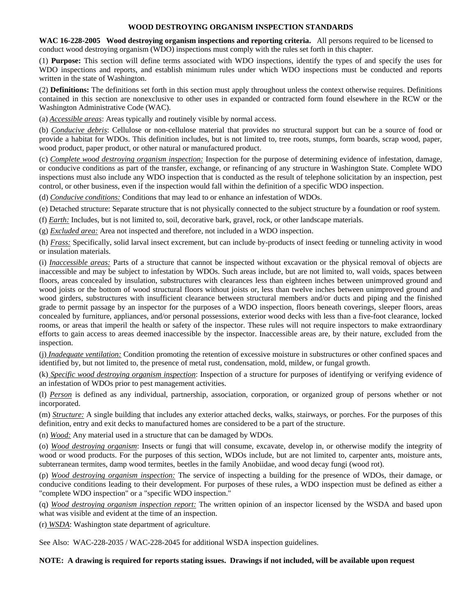## **WOOD DESTROYING ORGANISM INSPECTION STANDARDS**

**WAC 16-228-2005 Wood destroying organism inspections and reporting criteria.** All persons required to be licensed to conduct wood destroying organism (WDO) inspections must comply with the rules set forth in this chapter.

(1) **Purpose:** This section will define terms associated with WDO inspections, identify the types of and specify the uses for WDO inspections and reports, and establish minimum rules under which WDO inspections must be conducted and reports written in the state of Washington.

(2) **Definitions:** The definitions set forth in this section must apply throughout unless the context otherwise requires. Definitions contained in this section are nonexclusive to other uses in expanded or contracted form found elsewhere in the RCW or the Washington Administrative Code (WAC).

(a) *Accessible areas*: Areas typically and routinely visible by normal access.

(b) *Conducive debris*: Cellulose or non-cellulose material that provides no structural support but can be a source of food or provide a habitat for WDOs. This definition includes, but is not limited to, tree roots, stumps, form boards, scrap wood, paper, wood product, paper product, or other natural or manufactured product.

(c) *Complete wood destroying organism inspection:* Inspection for the purpose of determining evidence of infestation, damage, or conducive conditions as part of the transfer, exchange, or refinancing of any structure in Washington State. Complete WDO inspections must also include any WDO inspection that is conducted as the result of telephone solicitation by an inspection, pest control, or other business, even if the inspection would fall within the definition of a specific WDO inspection.

(d) *Conducive conditions:* Conditions that may lead to or enhance an infestation of WDOs.

(e) Detached structure: Separate structure that is not physically connected to the subject structure by a foundation or roof system.

(f) *Earth:* Includes, but is not limited to, soil, decorative bark, gravel, rock, or other landscape materials.

(g) *Excluded area:* Area not inspected and therefore, not included in a WDO inspection.

(h) *Frass:* Specifically, solid larval insect excrement, but can include by-products of insect feeding or tunneling activity in wood or insulation materials.

(i) *Inaccessible areas:* Parts of a structure that cannot be inspected without excavation or the physical removal of objects are inaccessible and may be subject to infestation by WDOs. Such areas include, but are not limited to, wall voids, spaces between floors, areas concealed by insulation, substructures with clearances less than eighteen inches between unimproved ground and wood joists or the bottom of wood structural floors without joists or, less than twelve inches between unimproved ground and wood girders, substructures with insufficient clearance between structural members and/or ducts and piping and the finished grade to permit passage by an inspector for the purposes of a WDO inspection, floors beneath coverings, sleeper floors, areas concealed by furniture, appliances, and/or personal possessions, exterior wood decks with less than a five-foot clearance, locked rooms, or areas that imperil the health or safety of the inspector. These rules will not require inspectors to make extraordinary efforts to gain access to areas deemed inaccessible by the inspector. Inaccessible areas are, by their nature, excluded from the inspection.

(j) *Inadequate ventilation:* Condition promoting the retention of excessive moisture in substructures or other confined spaces and identified by, but not limited to, the presence of metal rust, condensation, mold, mildew, or fungal growth.

(k) *Specific wood destroying organism inspection*: Inspection of a structure for purposes of identifying or verifying evidence of an infestation of WDOs prior to pest management activities.

(l) *Person* is defined as any individual, partnership, association, corporation, or organized group of persons whether or not incorporated.

(m) *Structure:* A single building that includes any exterior attached decks, walks, stairways, or porches. For the purposes of this definition, entry and exit decks to manufactured homes are considered to be a part of the structure.

(n) *Wood:* Any material used in a structure that can be damaged by WDOs.

(o) *Wood destroying organism*: Insects or fungi that will consume, excavate, develop in, or otherwise modify the integrity of wood or wood products. For the purposes of this section, WDOs include, but are not limited to, carpenter ants, moisture ants, subterranean termites, damp wood termites, beetles in the family Anobiidae, and wood decay fungi (wood rot).

(p) *Wood destroying organism inspection:* The service of inspecting a building for the presence of WDOs, their damage, or conducive conditions leading to their development. For purposes of these rules, a WDO inspection must be defined as either a "complete WDO inspection" or a "specific WDO inspection."

(q) *Wood destroying organism inspection report:* The written opinion of an inspector licensed by the WSDA and based upon what was visible and evident at the time of an inspection.

(r) *WSDA*: Washington state department of agriculture.

See Also: WAC-228-2035 / WAC-228-2045 for additional WSDA inspection guidelines.

**NOTE: A drawing is required for reports stating issues. Drawings if not included, will be available upon request**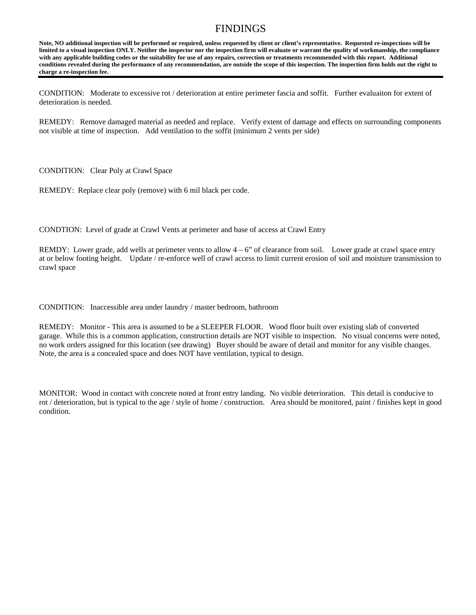## FINDINGS

**Note, NO additional inspection will be performed or required, unless requested by client or client's representative. Requested re-inspections will be limited to a visual inspection ONLY. Neither the inspector nor the inspection firm will evaluate or warrant the quality of workmanship, the compliance with any applicable building codes or the suitability for use of any repairs, correction or treatments recommended with this report. Additional conditions revealed during the performance of any recommendation, are outside the scope of this inspection. The inspection firm holds out the right to charge a re-inspection fee.** 

CONDITION: Moderate to excessive rot / deterioration at entire perimeter fascia and soffit. Further evaluaiton for extent of deterioration is needed.

REMEDY: Remove damaged material as needed and replace. Verify extent of damage and effects on surrounding components not visible at time of inspection. Add ventilation to the soffit (minimum 2 vents per side)

CONDITION: Clear Poly at Crawl Space

REMEDY: Replace clear poly (remove) with 6 mil black per code.

CONDTION: Level of grade at Crawl Vents at perimeter and base of access at Crawl Entry

REMDY: Lower grade, add wells at perimeter vents to allow  $4 - 6$ " of clearance from soil. Lower grade at crawl space entry at or below footing height. Update / re-enforce well of crawl access to limit current erosion of soil and moisture transmission to crawl space

CONDITION: Inaccessible area under laundry / master bedroom, bathroom

REMEDY: Monitor - This area is assumed to be a SLEEPER FLOOR. Wood floor built over existing slab of converted garage. While this is a common application, construction details are NOT visible to inspection. No visual concerns were noted, no work orders assigned for this location (see drawing) Buyer should be aware of detail and monitor for any visible changes. Note, the area is a concealed space and does NOT have ventilation, typical to design.

MONITOR: Wood in contact with concrete noted at front entry landing. No visible deterioration. This detail is conducive to rot / deterioration, but is typical to the age / style of home / construction. Area should be monitored, paint / finishes kept in good condition.